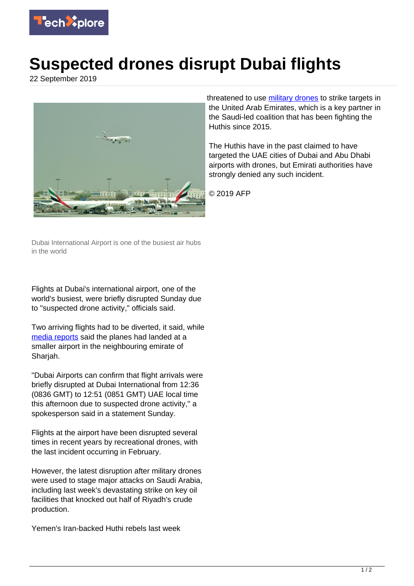

## **Suspected drones disrupt Dubai flights**

22 September 2019



threatened to use [military drones](https://techxplore.com/tags/military+drones/) to strike targets in the United Arab Emirates, which is a key partner in the Saudi-led coalition that has been fighting the Huthis since 2015.

The Huthis have in the past claimed to have targeted the UAE cities of Dubai and Abu Dhabi airports with drones, but Emirati authorities have strongly denied any such incident.

© 2019 AFP

Dubai International Airport is one of the busiest air hubs in the world

Flights at Dubai's international airport, one of the world's busiest, were briefly disrupted Sunday due to "suspected drone activity," officials said.

Two arriving flights had to be diverted, it said, while [media reports](https://techxplore.com/tags/media+reports/) said the planes had landed at a smaller airport in the neighbouring emirate of Sharjah.

"Dubai Airports can confirm that flight arrivals were briefly disrupted at Dubai International from 12:36 (0836 GMT) to 12:51 (0851 GMT) UAE local time this afternoon due to suspected drone activity," a spokesperson said in a statement Sunday.

Flights at the airport have been disrupted several times in recent years by recreational drones, with the last incident occurring in February.

However, the latest disruption after military drones were used to stage major attacks on Saudi Arabia, including last week's devastating strike on key oil facilities that knocked out half of Riyadh's crude production.

Yemen's Iran-backed Huthi rebels last week